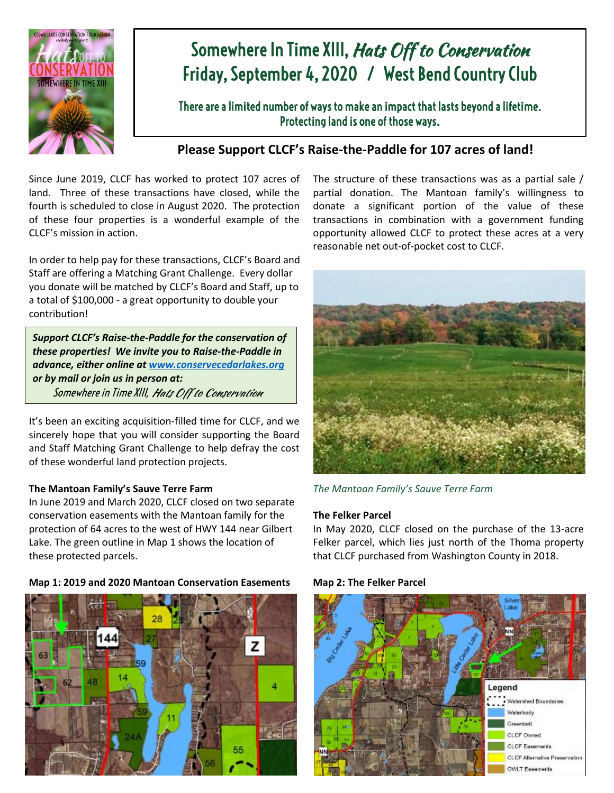

# Somewhere In Time XIII, Hats Off to Conservation Friday, September 4, 2020 / West Bend Country Club

There are a limited number of ways to make an impact that lasts beyond a lifetime. Protecting land is one of those ways.

## **Please Support CLCF's Raise-the-Paddle for 107 acres of land!**

Since June 2019, CLCF has worked to protect 107 acres of land. Three of these transactions have closed, while the fourth is scheduled to close in August 2020. The protection of these four properties is a wonderful example of the CLCF's mission in action.

In order to help pay for these transactions, CLCF's Board and Staff are offering a Matching Grant Challenge. Every dollar you donate will be matched by CLCF's Board and Staff, up to a total of \$100,000 - a great opportunity to double your contribution!

*Support CLCF's Raise-the-Paddle for the conservation of these properties! We invite you to Raise-the-Paddle in advance, either online a[t www.conservecedarlakes.org](http://www.conservecedarlakes.org/) or by mail or join us in person at:* Somewhere in Time XIII*,* Hats Off to Conservation

It's been an exciting acquisition-filled time for CLCF, and we sincerely hope that you will consider supporting the Board and Staff Matching Grant Challenge to help defray the cost of these wonderful land protection projects.

### **The Mantoan Family's Sauve Terre Farm**

In June 2019 and March 2020, CLCF closed on two separate conservation easements with the Mantoan family for the protection of 64 acres to the west of HWY 144 near Gilbert Lake. The green outline in Map 1 shows the location of these protected parcels.





The structure of these transactions was as a partial sale / partial donation. The Mantoan family's willingness to donate a significant portion of the value of these transactions in combination with a government funding opportunity allowed CLCF to protect these acres at a very reasonable net out-of-pocket cost to CLCF.



*The Mantoan Family's Sauve Terre Farm*

#### **The Felker Parcel**

In May 2020, CLCF closed on the purchase of the 13-acre Felker parcel, which lies just north of the Thoma property that CLCF purchased from Washington County in 2018.



**Map 2: The Felker Parcel**